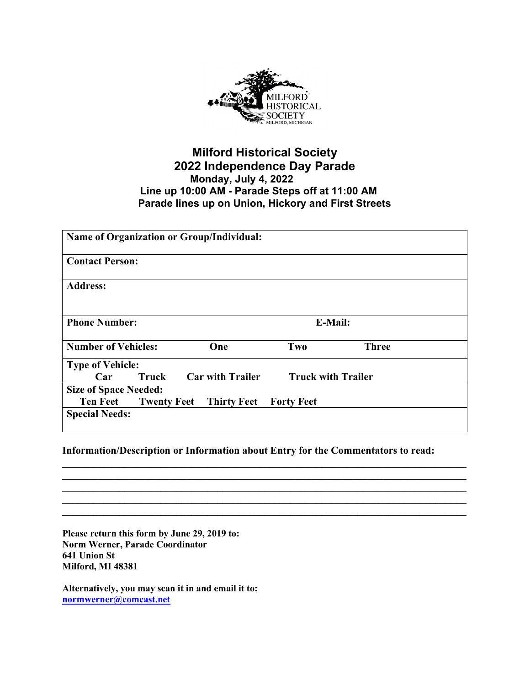

## Milford Historical Society 2022 Independence Day Parade Monday, July 4, 2022 Line up 10:00 AM - Parade Steps off at 11:00 AM Parade lines up on Union, Hickory and First Streets

| <b>Name of Organization or Group/Individual:</b> |                    |                         |                   |                           |  |
|--------------------------------------------------|--------------------|-------------------------|-------------------|---------------------------|--|
| <b>Contact Person:</b>                           |                    |                         |                   |                           |  |
| <b>Address:</b>                                  |                    |                         |                   |                           |  |
| <b>Phone Number:</b>                             |                    | <b>E-Mail:</b>          |                   |                           |  |
| <b>Number of Vehicles:</b>                       |                    | One                     | Two               | <b>Three</b>              |  |
| <b>Type of Vehicle:</b>                          |                    |                         |                   |                           |  |
| Car                                              | Truck              | <b>Car with Trailer</b> |                   | <b>Truck with Trailer</b> |  |
| <b>Size of Space Needed:</b>                     |                    |                         |                   |                           |  |
| <b>Ten Feet</b>                                  | <b>Twenty Feet</b> | <b>Thirty Feet</b>      | <b>Forty Feet</b> |                           |  |
| <b>Special Needs:</b>                            |                    |                         |                   |                           |  |

## Information/Description or Information about Entry for the Commentators to read:

 $\mathcal{L}_\mathcal{L} = \{ \mathcal{L}_\mathcal{L} = \{ \mathcal{L}_\mathcal{L} = \{ \mathcal{L}_\mathcal{L} = \{ \mathcal{L}_\mathcal{L} = \{ \mathcal{L}_\mathcal{L} = \{ \mathcal{L}_\mathcal{L} = \{ \mathcal{L}_\mathcal{L} = \{ \mathcal{L}_\mathcal{L} = \{ \mathcal{L}_\mathcal{L} = \{ \mathcal{L}_\mathcal{L} = \{ \mathcal{L}_\mathcal{L} = \{ \mathcal{L}_\mathcal{L} = \{ \mathcal{L}_\mathcal{L} = \{ \mathcal{L}_\mathcal{$  $\mathcal{L}_\mathcal{L} = \mathcal{L}_\mathcal{L} = \mathcal{L}_\mathcal{L} = \mathcal{L}_\mathcal{L} = \mathcal{L}_\mathcal{L} = \mathcal{L}_\mathcal{L} = \mathcal{L}_\mathcal{L} = \mathcal{L}_\mathcal{L} = \mathcal{L}_\mathcal{L} = \mathcal{L}_\mathcal{L} = \mathcal{L}_\mathcal{L} = \mathcal{L}_\mathcal{L} = \mathcal{L}_\mathcal{L} = \mathcal{L}_\mathcal{L} = \mathcal{L}_\mathcal{L} = \mathcal{L}_\mathcal{L} = \mathcal{L}_\mathcal{L}$  $\mathcal{L}_\mathcal{L} = \mathcal{L}_\mathcal{L} = \mathcal{L}_\mathcal{L} = \mathcal{L}_\mathcal{L} = \mathcal{L}_\mathcal{L} = \mathcal{L}_\mathcal{L} = \mathcal{L}_\mathcal{L} = \mathcal{L}_\mathcal{L} = \mathcal{L}_\mathcal{L} = \mathcal{L}_\mathcal{L} = \mathcal{L}_\mathcal{L} = \mathcal{L}_\mathcal{L} = \mathcal{L}_\mathcal{L} = \mathcal{L}_\mathcal{L} = \mathcal{L}_\mathcal{L} = \mathcal{L}_\mathcal{L} = \mathcal{L}_\mathcal{L}$  $\mathcal{L}_\mathcal{L} = \mathcal{L}_\mathcal{L} = \mathcal{L}_\mathcal{L} = \mathcal{L}_\mathcal{L} = \mathcal{L}_\mathcal{L} = \mathcal{L}_\mathcal{L} = \mathcal{L}_\mathcal{L} = \mathcal{L}_\mathcal{L} = \mathcal{L}_\mathcal{L} = \mathcal{L}_\mathcal{L} = \mathcal{L}_\mathcal{L} = \mathcal{L}_\mathcal{L} = \mathcal{L}_\mathcal{L} = \mathcal{L}_\mathcal{L} = \mathcal{L}_\mathcal{L} = \mathcal{L}_\mathcal{L} = \mathcal{L}_\mathcal{L}$  $\mathcal{L}_\mathcal{L} = \{ \mathcal{L}_\mathcal{L} = \{ \mathcal{L}_\mathcal{L} = \{ \mathcal{L}_\mathcal{L} = \{ \mathcal{L}_\mathcal{L} = \{ \mathcal{L}_\mathcal{L} = \{ \mathcal{L}_\mathcal{L} = \{ \mathcal{L}_\mathcal{L} = \{ \mathcal{L}_\mathcal{L} = \{ \mathcal{L}_\mathcal{L} = \{ \mathcal{L}_\mathcal{L} = \{ \mathcal{L}_\mathcal{L} = \{ \mathcal{L}_\mathcal{L} = \{ \mathcal{L}_\mathcal{L} = \{ \mathcal{L}_\mathcal{$ 

Please return this form by June 29, 2019 to: Norm Werner, Parade Coordinator 641 Union St Milford, MI 48381

Alternatively, you may scan it in and email it to: normwerner@comcast.net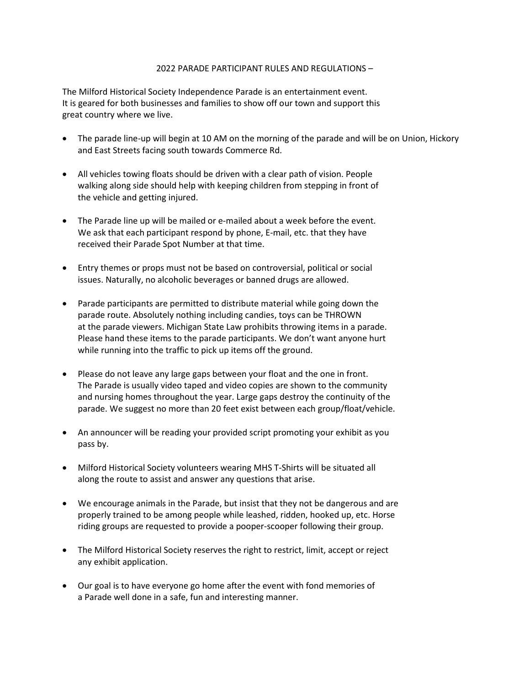## 2022 PARADE PARTICIPANT RULES AND REGULATIONS –

The Milford Historical Society Independence Parade is an entertainment event. It is geared for both businesses and families to show off our town and support this great country where we live.

- The parade line-up will begin at 10 AM on the morning of the parade and will be on Union, Hickory and East Streets facing south towards Commerce Rd.
- All vehicles towing floats should be driven with a clear path of vision. People walking along side should help with keeping children from stepping in front of the vehicle and getting injured.
- The Parade line up will be mailed or e-mailed about a week before the event. We ask that each participant respond by phone, E-mail, etc. that they have received their Parade Spot Number at that time.
- Entry themes or props must not be based on controversial, political or social issues. Naturally, no alcoholic beverages or banned drugs are allowed.
- Parade participants are permitted to distribute material while going down the parade route. Absolutely nothing including candies, toys can be THROWN at the parade viewers. Michigan State Law prohibits throwing items in a parade. Please hand these items to the parade participants. We don't want anyone hurt while running into the traffic to pick up items off the ground.
- Please do not leave any large gaps between your float and the one in front. The Parade is usually video taped and video copies are shown to the community and nursing homes throughout the year. Large gaps destroy the continuity of the parade. We suggest no more than 20 feet exist between each group/float/vehicle.
- An announcer will be reading your provided script promoting your exhibit as you pass by.
- Milford Historical Society volunteers wearing MHS T-Shirts will be situated all along the route to assist and answer any questions that arise.
- We encourage animals in the Parade, but insist that they not be dangerous and are properly trained to be among people while leashed, ridden, hooked up, etc. Horse riding groups are requested to provide a pooper-scooper following their group.
- The Milford Historical Society reserves the right to restrict, limit, accept or reject any exhibit application.
- Our goal is to have everyone go home after the event with fond memories of a Parade well done in a safe, fun and interesting manner.